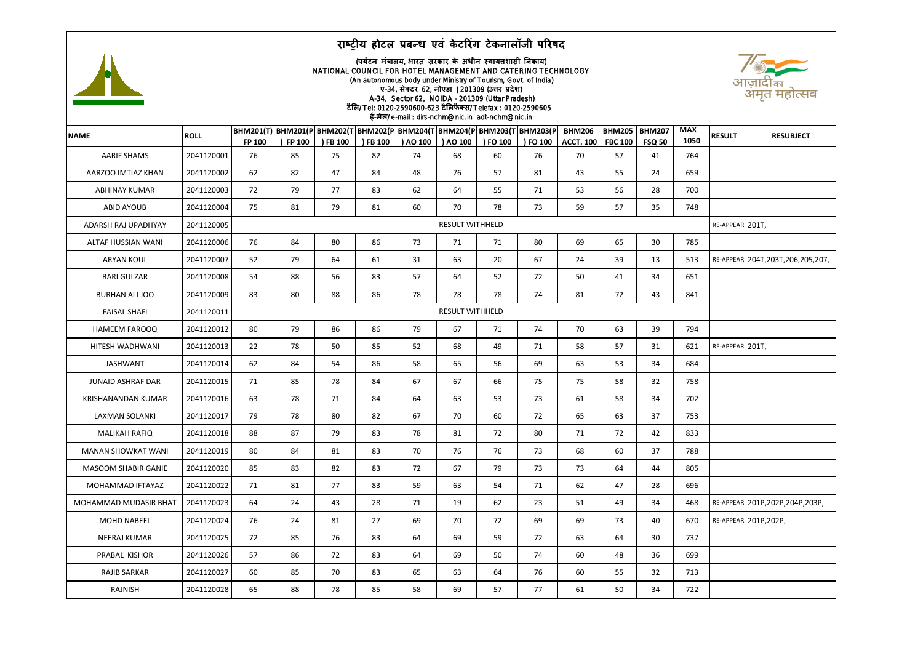



## (**पर्टय न मंत्रालर्**, **भारत सरकार के अधीन स्वार्त्तशासी ननकार्**) NATIONAL COUNCIL FOR HOTEL MANAGEMENT AND CATERING TECHNOLOGY (An autonomous body under Ministry of Tourism, Govt. of India) **ए**-34, **सेक्टर** 62, **नोएडा** 201309 (**उत्तर प्रदेश**) A-34, Sector 62, NOIDA - 201309 (Uttar Pradesh) **टैलल**/ Tel: 0120-2590600-623 **टैललफैक्स**/ Telefax : 0120-2590605 **ई**-**मेल**/ e-mail : dirs-nchm@nic.in adt-nchm@nic.in



| الصوابي العالية الصوابية الصوابطة الصوابطة العالية العالية العالية العالية العالية العالية العالية ا |             |                                                                                     |                        |          |          |          |          |          |          |                                   |                                 |                                |                    |                 |                                      |
|------------------------------------------------------------------------------------------------------|-------------|-------------------------------------------------------------------------------------|------------------------|----------|----------|----------|----------|----------|----------|-----------------------------------|---------------------------------|--------------------------------|--------------------|-----------------|--------------------------------------|
| <b>NAME</b>                                                                                          | <b>ROLL</b> | BHM201(T) BHM201(P BHM202(T BHM202(P BHM204(T BHM204(P BHM203(T BHM203(P <br>FP 100 | ) FP 100               | ) FB 100 | ) FB 100 | ) AO 100 | ) AO 100 | ) FO 100 | ) FO 100 | <b>BHM206</b><br><b>ACCT. 100</b> | <b>BHM205</b><br><b>FBC 100</b> | <b>BHM207</b><br><b>FSQ 50</b> | <b>MAX</b><br>1050 | <b>RESULT</b>   | <b>RESUBJECT</b>                     |
| <b>AARIF SHAMS</b>                                                                                   | 2041120001  | 76                                                                                  | 85                     | 75       | 82       | 74       | 68       | 60       | 76       | 70                                | 57                              | 41                             | 764                |                 |                                      |
| AARZOO IMTIAZ KHAN                                                                                   | 2041120002  | 62                                                                                  | 82                     | 47       | 84       | 48       | 76       | 57       | 81       | 43                                | 55                              | 24                             | 659                |                 |                                      |
| <b>ABHINAY KUMAR</b>                                                                                 | 2041120003  | 72                                                                                  | 79                     | 77       | 83       | 62       | 64       | 55       | 71       | 53                                | 56                              | 28                             | 700                |                 |                                      |
| <b>ABID AYOUB</b>                                                                                    | 2041120004  | 75                                                                                  | 81                     | 79       | 81       | 60       | 70       | 78       | 73       | 59                                | 57                              | 35                             | 748                |                 |                                      |
| ADARSH RAJ UPADHYAY                                                                                  | 2041120005  | <b>RESULT WITHHELD</b>                                                              |                        |          |          |          |          |          |          |                                   |                                 |                                |                    | RE-APPEAR 201T, |                                      |
| ALTAF HUSSIAN WANI                                                                                   | 2041120006  | 76                                                                                  | 84                     | 80       | 86       | 73       | 71       | 71       | 80       | 69                                | 65                              | 30                             | 785                |                 |                                      |
| <b>ARYAN KOUL</b>                                                                                    | 2041120007  | 52                                                                                  | 79                     | 64       | 61       | 31       | 63       | 20       | 67       | 24                                | 39                              | 13                             | 513                |                 | RE-APPEAR 204T, 203T, 206, 205, 207, |
| <b>BARI GULZAR</b>                                                                                   | 2041120008  | 54                                                                                  | 88                     | 56       | 83       | 57       | 64       | 52       | 72       | 50                                | 41                              | 34                             | 651                |                 |                                      |
| <b>BURHAN ALI JOO</b>                                                                                | 2041120009  | 83                                                                                  | 80                     | 88       | 86       | 78       | 78       | 78       | 74       | 81                                | 72                              | 43                             | 841                |                 |                                      |
| <b>FAISAL SHAFI</b>                                                                                  | 2041120011  |                                                                                     | <b>RESULT WITHHELD</b> |          |          |          |          |          |          |                                   |                                 |                                |                    |                 |                                      |
| <b>HAMEEM FAROOQ</b>                                                                                 | 2041120012  | 80                                                                                  | 79                     | 86       | 86       | 79       | 67       | 71       | 74       | 70                                | 63                              | 39                             | 794                |                 |                                      |
| HITESH WADHWANI                                                                                      | 2041120013  | 22                                                                                  | 78                     | 50       | 85       | 52       | 68       | 49       | 71       | 58                                | 57                              | 31                             | 621                | RE-APPEAR 201T, |                                      |
| <b>JASHWANT</b>                                                                                      | 2041120014  | 62                                                                                  | 84                     | 54       | 86       | 58       | 65       | 56       | 69       | 63                                | 53                              | 34                             | 684                |                 |                                      |
| <b>JUNAID ASHRAF DAR</b>                                                                             | 2041120015  | 71                                                                                  | 85                     | 78       | 84       | 67       | 67       | 66       | 75       | 75                                | 58                              | 32                             | 758                |                 |                                      |
| KRISHANANDAN KUMAR                                                                                   | 2041120016  | 63                                                                                  | 78                     | 71       | 84       | 64       | 63       | 53       | 73       | 61                                | 58                              | 34                             | 702                |                 |                                      |
| <b>LAXMAN SOLANKI</b>                                                                                | 2041120017  | 79                                                                                  | 78                     | 80       | 82       | 67       | 70       | 60       | 72       | 65                                | 63                              | 37                             | 753                |                 |                                      |
| <b>MALIKAH RAFIQ</b>                                                                                 | 2041120018  | 88                                                                                  | 87                     | 79       | 83       | 78       | 81       | 72       | 80       | 71                                | 72                              | 42                             | 833                |                 |                                      |
| <b>MANAN SHOWKAT WANI</b>                                                                            | 2041120019  | 80                                                                                  | 84                     | 81       | 83       | 70       | 76       | 76       | 73       | 68                                | 60                              | 37                             | 788                |                 |                                      |
| <b>MASOOM SHABIR GANIE</b>                                                                           | 2041120020  | 85                                                                                  | 83                     | 82       | 83       | 72       | 67       | 79       | 73       | 73                                | 64                              | 44                             | 805                |                 |                                      |
| MOHAMMAD IFTAYAZ                                                                                     | 2041120022  | 71                                                                                  | 81                     | 77       | 83       | 59       | 63       | 54       | 71       | 62                                | 47                              | 28                             | 696                |                 |                                      |
| MOHAMMAD MUDASIR BHAT                                                                                | 2041120023  | 64                                                                                  | 24                     | 43       | 28       | 71       | 19       | 62       | 23       | 51                                | 49                              | 34                             | 468                |                 | RE-APPEAR 201P, 202P, 204P, 203P,    |
| <b>MOHD NABEEL</b>                                                                                   | 2041120024  | 76                                                                                  | 24                     | 81       | 27       | 69       | 70       | 72       | 69       | 69                                | 73                              | 40                             | 670                |                 | RE-APPEAR 201P, 202P,                |
| NEERAJ KUMAR                                                                                         | 2041120025  | 72                                                                                  | 85                     | 76       | 83       | 64       | 69       | 59       | 72       | 63                                | 64                              | 30                             | 737                |                 |                                      |
| PRABAL KISHOR                                                                                        | 2041120026  | 57                                                                                  | 86                     | 72       | 83       | 64       | 69       | 50       | 74       | 60                                | 48                              | 36                             | 699                |                 |                                      |
| RAJIB SARKAR                                                                                         | 2041120027  | 60                                                                                  | 85                     | 70       | 83       | 65       | 63       | 64       | 76       | 60                                | 55                              | 32                             | 713                |                 |                                      |
| RAJNISH                                                                                              | 2041120028  | 65                                                                                  | 88                     | 78       | 85       | 58       | 69       | 57       | 77       | 61                                | 50                              | 34                             | 722                |                 |                                      |